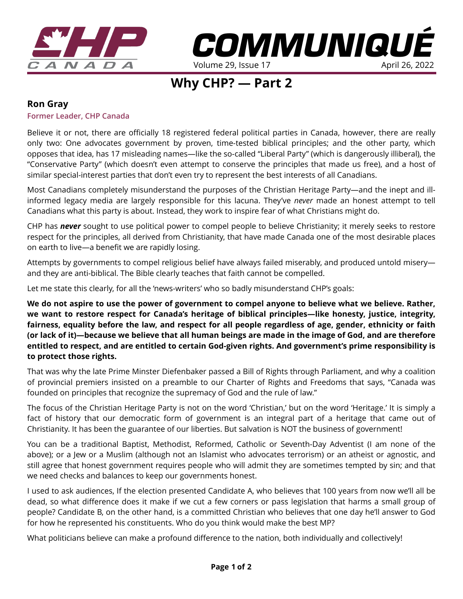

*COMMUNIQUE* Volume 29, Issue 17

# **Why CHP? — Part 2**

### **Ron Gray**

#### **Former Leader, CHP Canada**

Believe it or not, there are officially 18 registered federal political parties in Canada, however, there are really only two: One advocates government by proven, time-tested biblical principles; and the other party, which opposes that idea, has 17 misleading names—like the so-called "Liberal Party" (which is dangerously illiberal), the "Conservative Party" (which doesn't even attempt to conserve the principles that made us free), and a host of similar special-interest parties that don't even try to represent the best interests of all Canadians.

Most Canadians completely misunderstand the purposes of the Christian Heritage Party—and the inept and illinformed legacy media are largely responsible for this lacuna. They've *never* made an honest attempt to tell Canadians what this party is about. Instead, they work to inspire fear of what Christians might do.

CHP has *never* sought to use political power to compel people to believe Christianity; it merely seeks to restore respect for the principles, all derived from Christianity, that have made Canada one of the most desirable places on earth to live—a benefit we are rapidly losing.

Attempts by governments to compel religious belief have always failed miserably, and produced untold misery and they are anti-biblical. The Bible clearly teaches that faith cannot be compelled.

Let me state this clearly, for all the 'news-writers' who so badly misunderstand CHP's goals:

**We do not aspire to use the power of government to compel anyone to believe what we believe. Rather, we want to restore respect for Canada's heritage of biblical principles—like honesty, justice, integrity, fairness, equality before the law, and respect for all people regardless of age, gender, ethnicity or faith (or lack of it)—because we believe that all human beings are made in the image of God, and are therefore entitled to respect, and are entitled to certain God-given rights. And government's prime responsibility is to protect those rights.** 

That was why the late Prime Minster Diefenbaker passed a Bill of Rights through Parliament, and why a coalition of provincial premiers insisted on a preamble to our Charter of Rights and Freedoms that says, "Canada was founded on principles that recognize the supremacy of God and the rule of law."

The focus of the Christian Heritage Party is not on the word 'Christian,' but on the word 'Heritage.' It is simply a fact of history that our democratic form of government is an integral part of a heritage that came out of Christianity. It has been the guarantee of our liberties. But salvation is NOT the business of government!

You can be a traditional Baptist, Methodist, Reformed, Catholic or Seventh-Day Adventist (I am none of the above); or a Jew or a Muslim (although not an Islamist who advocates terrorism) or an atheist or agnostic, and still agree that honest government requires people who will admit they are sometimes tempted by sin; and that we need checks and balances to keep our governments honest.

I used to ask audiences, If the election presented Candidate A, who believes that 100 years from now we'll all be dead, so what difference does it make if we cut a few corners or pass legislation that harms a small group of people? Candidate B, on the other hand, is a committed Christian who believes that one day he'll answer to God for how he represented his constituents. Who do you think would make the best MP?

What politicians believe can make a profound difference to the nation, both individually and collectively!